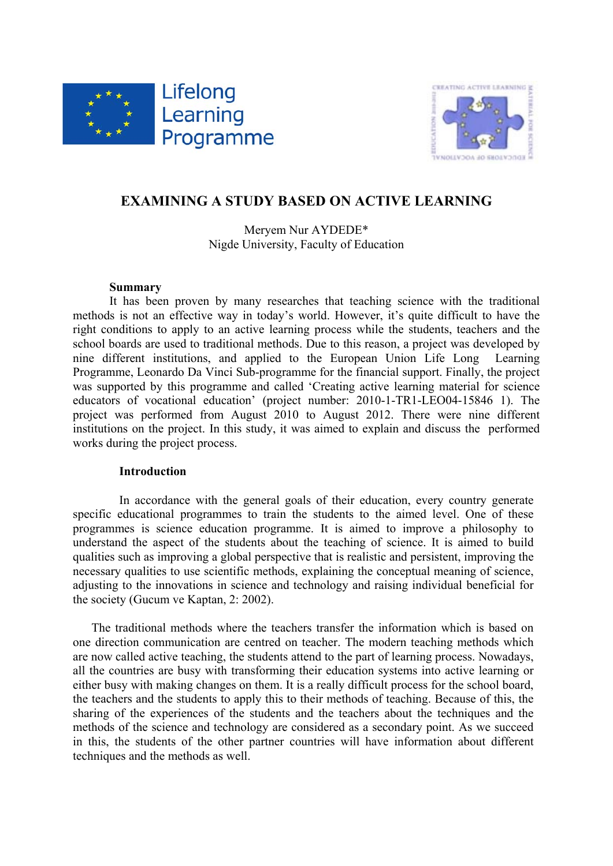



# **EXAMINING A STUDY BASED ON ACTIVE LEARNING**

Meryem Nur AYDEDE\* Nigde University, Faculty of Education

# **Summary**

It has been proven by many researches that teaching science with the traditional methods is not an effective way in today's world. However, it's quite difficult to have the right conditions to apply to an active learning process while the students, teachers and the school boards are used to traditional methods. Due to this reason, a project was developed by nine different institutions, and applied to the European Union Life Long Learning Programme, Leonardo Da Vinci Sub-programme for the financial support. Finally, the project was supported by this programme and called 'Creating active learning material for science educators of vocational education' (project number: 2010-1-TR1-LEO04-15846 1). The project was performed from August 2010 to August 2012. There were nine different institutions on the project. In this study, it was aimed to explain and discuss the performed works during the project process.

# **Introduction**

In accordance with the general goals of their education, every country generate specific educational programmes to train the students to the aimed level. One of these programmes is science education programme. It is aimed to improve a philosophy to understand the aspect of the students about the teaching of science. It is aimed to build qualities such as improving a global perspective that is realistic and persistent, improving the necessary qualities to use scientific methods, explaining the conceptual meaning of science, adjusting to the innovations in science and technology and raising individual beneficial for the society (Gucum ve Kaptan, 2: 2002).

 The traditional methods where the teachers transfer the information which is based on one direction communication are centred on teacher. The modern teaching methods which are now called active teaching, the students attend to the part of learning process. Nowadays, all the countries are busy with transforming their education systems into active learning or either busy with making changes on them. It is a really difficult process for the school board, the teachers and the students to apply this to their methods of teaching. Because of this, the sharing of the experiences of the students and the teachers about the techniques and the methods of the science and technology are considered as a secondary point. As we succeed in this, the students of the other partner countries will have information about different techniques and the methods as well.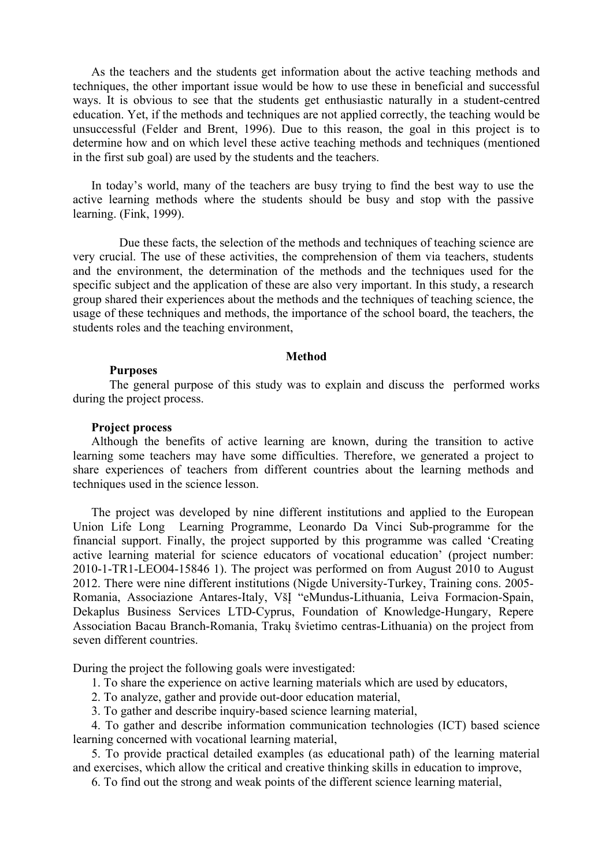As the teachers and the students get information about the active teaching methods and techniques, the other important issue would be how to use these in beneficial and successful ways. It is obvious to see that the students get enthusiastic naturally in a student-centred education. Yet, if the methods and techniques are not applied correctly, the teaching would be unsuccessful (Felder and Brent, 1996). Due to this reason, the goal in this project is to determine how and on which level these active teaching methods and techniques (mentioned in the first sub goal) are used by the students and the teachers.

In today's world, many of the teachers are busy trying to find the best way to use the active learning methods where the students should be busy and stop with the passive learning. (Fink, 1999).

Due these facts, the selection of the methods and techniques of teaching science are very crucial. The use of these activities, the comprehension of them via teachers, students and the environment, the determination of the methods and the techniques used for the specific subject and the application of these are also very important. In this study, a research group shared their experiences about the methods and the techniques of teaching science, the usage of these techniques and methods, the importance of the school board, the teachers, the students roles and the teaching environment,

#### **Method**

### **Purposes**

The general purpose of this study was to explain and discuss the performed works during the project process.

### **Project process**

Although the benefits of active learning are known, during the transition to active learning some teachers may have some difficulties. Therefore, we generated a project to share experiences of teachers from different countries about the learning methods and techniques used in the science lesson.

The project was developed by nine different institutions and applied to the European Union Life Long Learning Programme, Leonardo Da Vinci Sub-programme for the financial support. Finally, the project supported by this programme was called 'Creating active learning material for science educators of vocational education' (project number: 2010-1-TR1-LEO04-15846 1). The project was performed on from August 2010 to August 2012. There were nine different institutions (Nigde University-Turkey, Training cons. 2005- Romania, Associazione Antares-Italy, VšĮ "eMundus-Lithuania, Leiva Formacion-Spain, Dekaplus Business Services LTD-Cyprus, Foundation of Knowledge-Hungary, Repere Association Bacau Branch-Romania, Trakų švietimo centras-Lithuania) on the project from seven different countries.

During the project the following goals were investigated:

- 1. To share the experience on active learning materials which are used by educators,
- 2. To analyze, gather and provide out-door education material,
- 3. To gather and describe inquiry-based science learning material,

4. To gather and describe information communication technologies (ICT) based science learning concerned with vocational learning material,

5. To provide practical detailed examples (as educational path) of the learning material and exercises, which allow the critical and creative thinking skills in education to improve,

6. To find out the strong and weak points of the different science learning material,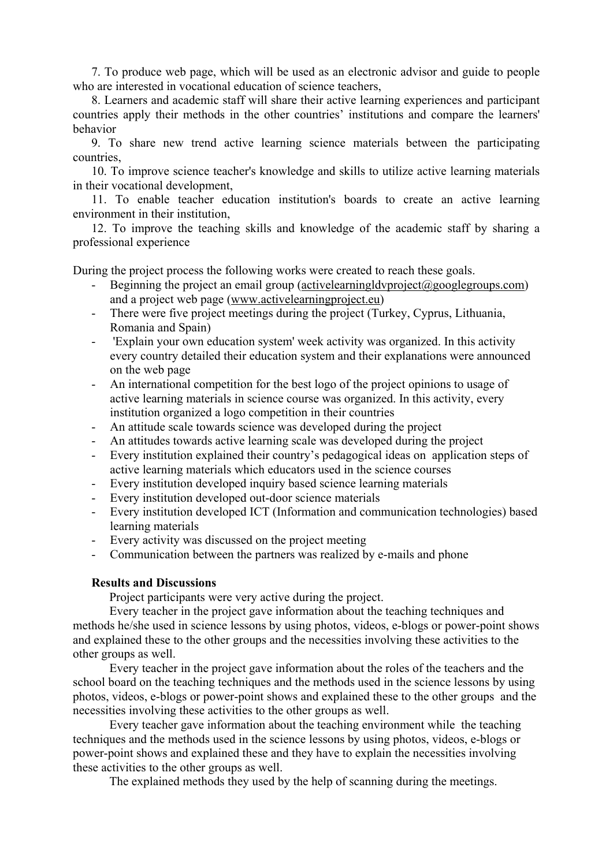7. To produce web page, which will be used as an electronic advisor and guide to people who are interested in vocational education of science teachers.

8. Learners and academic staff will share their active learning experiences and participant countries apply their methods in the other countries' institutions and compare the learners' behavior

9. To share new trend active learning science materials between the participating countries,

10. To improve science teacher's knowledge and skills to utilize active learning materials in their vocational development,

11. To enable teacher education institution's boards to create an active learning environment in their institution,

12. To improve the teaching skills and knowledge of the academic staff by sharing a professional experience

During the project process the following works were created to reach these goals.

- Beginning the project an email group (activelearningldvproject@googlegroups.com) and a project web page (www.activelearningproject.eu)
- There were five project meetings during the project (Turkey, Cyprus, Lithuania, Romania and Spain)
- 'Explain your own education system' week activity was organized. In this activity every country detailed their education system and their explanations were announced on the web page
- An international competition for the best logo of the project opinions to usage of active learning materials in science course was organized. In this activity, every institution organized a logo competition in their countries
- An attitude scale towards science was developed during the project
- An attitudes towards active learning scale was developed during the project
- Every institution explained their country's pedagogical ideas on application steps of active learning materials which educators used in the science courses
- Every institution developed inquiry based science learning materials
- Every institution developed out-door science materials
- Every institution developed ICT (Information and communication technologies) based learning materials
- Every activity was discussed on the project meeting
- Communication between the partners was realized by e-mails and phone

## **Results and Discussions**

Project participants were very active during the project.

Every teacher in the project gave information about the teaching techniques and methods he/she used in science lessons by using photos, videos, e-blogs or power-point shows and explained these to the other groups and the necessities involving these activities to the other groups as well.

Every teacher in the project gave information about the roles of the teachers and the school board on the teaching techniques and the methods used in the science lessons by using photos, videos, e-blogs or power-point shows and explained these to the other groups and the necessities involving these activities to the other groups as well.

Every teacher gave information about the teaching environment while the teaching techniques and the methods used in the science lessons by using photos, videos, e-blogs or power-point shows and explained these and they have to explain the necessities involving these activities to the other groups as well.

The explained methods they used by the help of scanning during the meetings.